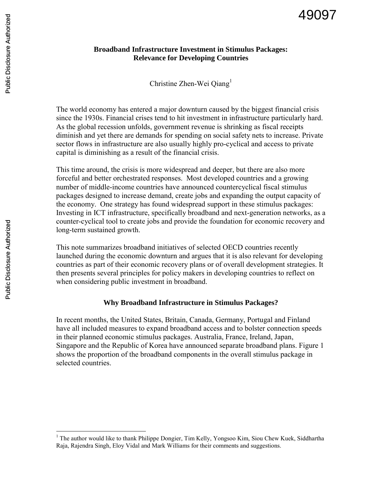# **Broadband Infrastructure Investment in Stimulus Packages: Relevance for Developing Countries**  49097<br>
Eventual of the Interacture Investment in Stimulus Packages:<br>
Broadband Infrastructure Investment in Stimulus Packages:<br>
Relevance for Developing Countries<br>
Christine Zhen-Wei Qiang<sup>1</sup>

Christine Zhen-Wei Qiang<sup>1</sup>

The world economy has entered a major downturn caused by the biggest financial crisis since the 1930s. Financial crises tend to hit investment in infrastructure particularly hard. As the global recession unfolds, government revenue is shrinking as fiscal receipts diminish and yet there are demands for spending on social safety nets to increase. Private sector flows in infrastructure are also usually highly pro-cyclical and access to private capital is diminishing as a result of the financial crisis.

This time around, the crisis is more widespread and deeper, but there are also more forceful and better orchestrated responses. Most developed countries and a growing number of middle-income countries have announced countercyclical fiscal stimulus packages designed to increase demand, create jobs and expanding the output capacity of the economy. One strategy has found widespread support in these stimulus packages: Investing in ICT infrastructure, specifically broadband and next-generation networks, as a counter-cyclical tool to create jobs and provide the foundation for economic recovery and long-term sustained growth.

This note summarizes broadband initiatives of selected OECD countries recently launched during the economic downturn and argues that it is also relevant for developing countries as part of their economic recovery plans or of overall development strategies. It then presents several principles for policy makers in developing countries to reflect on when considering public investment in broadband.

## **Why Broadband Infrastructure in Stimulus Packages?**

In recent months, the United States, Britain, Canada, Germany, Portugal and Finland have all included measures to expand broadband access and to bolster connection speeds in their planned economic stimulus packages. Australia, France, Ireland, Japan, Singapore and the Republic of Korea have announced separate broadband plans. Figure 1 shows the proportion of the broadband components in the overall stimulus package in selected countries.

<sup>&</sup>lt;sup>1</sup> The author would like to thank Philippe Dongier, Tim Kelly, Yongsoo Kim, Siou Chew Kuek, Siddhartha Raja, Rajendra Singh, Eloy Vidal and Mark Williams for their comments and suggestions.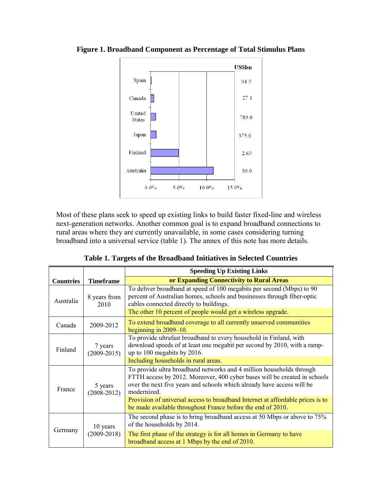

**Figure 1. Broadband Component as Percentage of Total Stimulus Plans** 

Most of these plans seek to speed up existing links to build faster fixed-line and wireless next-generation networks. Another common goal is to expand broadband connections to rural areas where they are currently unavailable, in some cases considering turning broadband into a universal service (table 1). The annex of this note has more details.

**Table 1. Targets of the Broadband Initiatives in Selected Countries**

|                                        |                            | <b>Speeding Up Existing Links</b>                                                                                                                                                                                                                                                                                                                                                                                           |  |
|----------------------------------------|----------------------------|-----------------------------------------------------------------------------------------------------------------------------------------------------------------------------------------------------------------------------------------------------------------------------------------------------------------------------------------------------------------------------------------------------------------------------|--|
| <b>Countries</b>                       | <b>Timeframe</b>           | or Expanding Connectivity to Rural Areas                                                                                                                                                                                                                                                                                                                                                                                    |  |
| Australia                              | 8 years from<br>2010       | To deliver broadband at speed of 100 megabits per second (Mbps) to 90<br>percent of Australian homes, schools and businesses through fiber-optic<br>cables connected directly to buildings.                                                                                                                                                                                                                                 |  |
| Canada<br>Finland<br>France<br>Germany |                            | The other 10 percent of people would get a wireless upgrade.                                                                                                                                                                                                                                                                                                                                                                |  |
|                                        | 2009-2012                  | To extend broadband coverage to all currently unserved communities<br>beginning in $2009-10$ .                                                                                                                                                                                                                                                                                                                              |  |
|                                        | 7 years<br>$(2009 - 2015)$ | To provide ultrafast broadband to every household in Finland, with<br>download speeds of at least one megabit per second by 2010, with a ramp-<br>up to 100 megabits by 2016.                                                                                                                                                                                                                                               |  |
|                                        |                            | Including households in rural areas.<br>To provide ultra broadband networks and 4 million households through<br>over the next five years and schools which already have access will be<br>modernized.<br>be made available throughout France before the end of 2010.<br>of the households by 2014.<br>The first phase of the strategy is for all homes in Germany to have<br>broadband access at 1 Mbps by the end of 2010. |  |
|                                        | 5 years<br>$(2008 - 2012)$ | FTTH access by 2012. Moreover, 400 cyber bases will be created in schools                                                                                                                                                                                                                                                                                                                                                   |  |
|                                        |                            | Provision of universal access to broadband Internet at affordable prices is to                                                                                                                                                                                                                                                                                                                                              |  |
|                                        | 10 years                   | The second phase is to bring broadband access at 50 Mbps or above to 75%                                                                                                                                                                                                                                                                                                                                                    |  |
|                                        | $(2009 - 2018)$            |                                                                                                                                                                                                                                                                                                                                                                                                                             |  |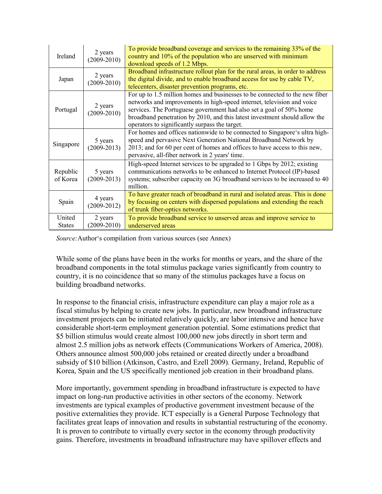| Ireland                 | 2 years<br>$(2009 - 2010)$ | To provide broadband coverage and services to the remaining 33% of the<br>country and 10% of the population who are unserved with minimum<br>download speeds of 1.2 Mbps.                                                                                                                                                                                    |
|-------------------------|----------------------------|--------------------------------------------------------------------------------------------------------------------------------------------------------------------------------------------------------------------------------------------------------------------------------------------------------------------------------------------------------------|
| Japan                   | 2 years<br>$(2009 - 2010)$ | Broadband infrastructure rollout plan for the rural areas, in order to address<br>the digital divide, and to enable broadband access for use by cable TV,<br>telecenters, disaster prevention programs, etc.                                                                                                                                                 |
| Portugal                | 2 years<br>$(2009 - 2010)$ | For up to 1.5 million homes and businesses to be connected to the new fiber<br>networks and improvements in high-speed internet, television and voice<br>services. The Portuguese government had also set a goal of 50% home<br>broadband penetration by 2010, and this latest investment should allow the<br>operators to significantly surpass the target. |
| Singapore               | 5 years<br>$(2009 - 2013)$ | For homes and offices nationwide to be connected to Singapore's ultra high-<br>speed and pervasive Next Generation National Broadband Network by<br>2013; and for 60 per cent of homes and offices to have access to this new,<br>pervasive, all-fiber network in 2 years' time.                                                                             |
| Republic<br>of Korea    | 5 years<br>$(2009 - 2013)$ | High-speed Internet services to be upgraded to 1 Gbps by 2012; existing<br>communications networks to be enhanced to Internet Protocol (IP)-based<br>systems; subscriber capacity on 3G broadband services to be increased to 40<br>million.                                                                                                                 |
| Spain                   | 4 years<br>$(2009 - 2012)$ | To have greater reach of broadband in rural and isolated areas. This is done<br>by focusing on centers with dispersed populations and extending the reach<br>of trunk fiber-optics networks.                                                                                                                                                                 |
| United<br><b>States</b> | 2 years<br>$(2009 - 2010)$ | To provide broadband service to unserved areas and improve service to<br>underserved areas                                                                                                                                                                                                                                                                   |

*Source:*Author's compilation from various sources (see Annex)

While some of the plans have been in the works for months or years, and the share of the broadband components in the total stimulus package varies significantly from country to country, it is no coincidence that so many of the stimulus packages have a focus on building broadband networks.

In response to the financial crisis, infrastructure expenditure can play a major role as a fiscal stimulus by helping to create new jobs. In particular, new broadband infrastructure investment projects can be initiated relatively quickly, are labor intensive and hence have considerable short-term employment generation potential. Some estimations predict that \$5 billion stimulus would create almost 100,000 new jobs directly in short term and almost 2.5 million jobs as network effects (Communications Workers of America, 2008). Others announce almost 500,000 jobs retained or created directly under a broadband subsidy of \$10 billion (Atkinson, Castro, and Ezell 2009). Germany, Ireland, Republic of Korea, Spain and the US specifically mentioned job creation in their broadband plans.

More importantly, government spending in broadband infrastructure is expected to have impact on long-run productive activities in other sectors of the economy. Network investments are typical examples of productive government investment because of the positive externalities they provide. ICT especially is a General Purpose Technology that facilitates great leaps of innovation and results in substantial restructuring of the economy. It is proven to contribute to virtually every sector in the economy through productivity gains. Therefore, investments in broadband infrastructure may have spillover effects and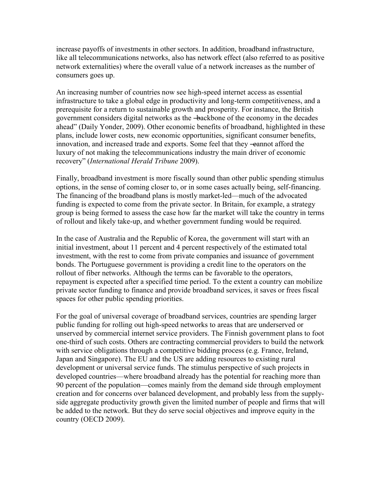increase payoffs of investments in other sectors. In addition, broadband infrastructure, like all telecommunications networks, also has network effect (also referred to as positive network externalities) where the overall value of a network increases as the number of consumers goes up.

An increasing number of countries now see high-speed internet access as essential infrastructure to take a global edge in productivity and long-term competitiveness, and a prerequisite for a return to sustainable growth and prosperity. For instance, the British government considers digital networks as the -backbone of the economy in the decades ahead" (Daily Yonder, 2009). Other economic benefits of broadband, highlighted in these plans, include lower costs, new economic opportunities, significant consumer benefits, innovation, and increased trade and exports. Some feel that they —eannot afford the luxury of not making the telecommunications industry the main driver of economic recovery" (*International Herald Tribune* 2009).

Finally, broadband investment is more fiscally sound than other public spending stimulus options, in the sense of coming closer to, or in some cases actually being, self-financing. The financing of the broadband plans is mostly market-led—much of the advocated funding is expected to come from the private sector. In Britain, for example, a strategy group is being formed to assess the case how far the market will take the country in terms of rollout and likely take-up, and whether government funding would be required.

In the case of Australia and the Republic of Korea, the government will start with an initial investment, about 11 percent and 4 percent respectively of the estimated total investment, with the rest to come from private companies and issuance of government bonds. The Portuguese government is providing a credit line to the operators on the rollout of fiber networks. Although the terms can be favorable to the operators, repayment is expected after a specified time period. To the extent a country can mobilize private sector funding to finance and provide broadband services, it saves or frees fiscal spaces for other public spending priorities.

For the goal of universal coverage of broadband services, countries are spending larger public funding for rolling out high-speed networks to areas that are underserved or unserved by commercial internet service providers. The Finnish government plans to foot one-third of such costs. Others are contracting commercial providers to build the network with service obligations through a competitive bidding process (e.g. France, Ireland, Japan and Singapore). The EU and the US are adding resources to existing rural development or universal service funds. The stimulus perspective of such projects in developed countries—where broadband already has the potential for reaching more than 90 percent of the population—comes mainly from the demand side through employment creation and for concerns over balanced development, and probably less from the supplyside aggregate productivity growth given the limited number of people and firms that will be added to the network. But they do serve social objectives and improve equity in the country (OECD 2009).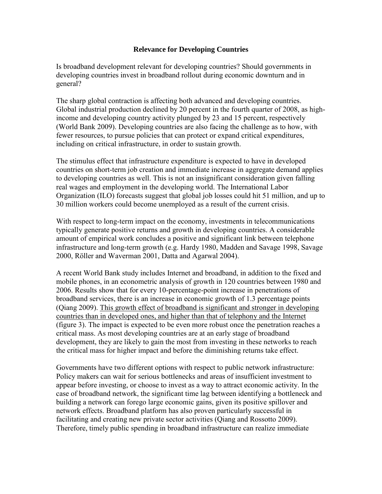## **Relevance for Developing Countries**

Is broadband development relevant for developing countries? Should governments in developing countries invest in broadband rollout during economic downturn and in general?

The sharp global contraction is affecting both advanced and developing countries. Global industrial production declined by 20 percent in the fourth quarter of 2008, as highincome and developing country activity plunged by 23 and 15 percent, respectively (World Bank 2009). Developing countries are also facing the challenge as to how, with fewer resources, to pursue policies that can protect or expand critical expenditures, including on critical infrastructure, in order to sustain growth.

The stimulus effect that infrastructure expenditure is expected to have in developed countries on short-term job creation and immediate increase in aggregate demand applies to developing countries as well. This is not an insignificant consideration given falling real wages and employment in the developing world. The International Labor Organization (ILO) forecasts suggest that global job losses could hit 51 million, and up to 30 million workers could become unemployed as a result of the current crisis.

With respect to long-term impact on the economy, investments in telecommunications typically generate positive returns and growth in developing countries. A considerable amount of empirical work concludes a positive and significant link between telephone infrastructure and long-term growth (e.g. Hardy 1980, Madden and Savage 1998, Savage 2000, Röller and Waverman 2001, Datta and Agarwal 2004).

A recent World Bank study includes Internet and broadband, in addition to the fixed and mobile phones, in an econometric analysis of growth in 120 countries between 1980 and 2006. Results show that for every 10-percentage-point increase in penetrations of broadband services, there is an increase in economic growth of 1.3 percentage points (Qiang 2009). This growth effect of broadband is significant and stronger in developing countries than in developed ones, and higher than that of telephony and the Internet (figure 3). The impact is expected to be even more robust once the penetration reaches a critical mass. As most developing countries are at an early stage of broadband development, they are likely to gain the most from investing in these networks to reach the critical mass for higher impact and before the diminishing returns take effect.

Governments have two different options with respect to public network infrastructure: Policy makers can wait for serious bottlenecks and areas of insufficient investment to appear before investing, or choose to invest as a way to attract economic activity. In the case of broadband network, the significant time lag between identifying a bottleneck and building a network can forego large economic gains, given its positive spillover and network effects. Broadband platform has also proven particularly successful in facilitating and creating new private sector activities (Qiang and Rossotto 2009). Therefore, timely public spending in broadband infrastructure can realize immediate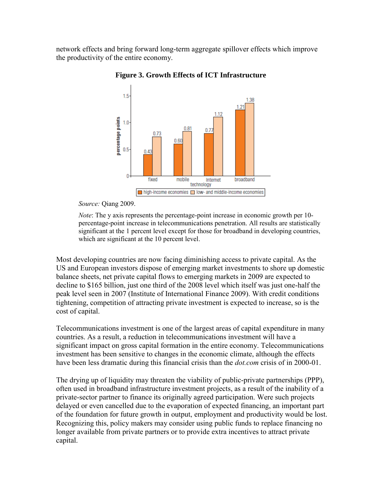network effects and bring forward long-term aggregate spillover effects which improve the productivity of the entire economy.



**Figure 3. Growth Effects of ICT Infrastructure** 

*Source:* Qiang 2009.

*Note*: The y axis represents the percentage-point increase in economic growth per 10percentage-point increase in telecommunications penetration. All results are statistically significant at the 1 percent level except for those for broadband in developing countries, which are significant at the 10 percent level.

Most developing countries are now facing diminishing access to private capital. As the US and European investors dispose of emerging market investments to shore up domestic balance sheets, net private capital flows to emerging markets in 2009 are expected to decline to \$165 billion, just one third of the 2008 level which itself was just one-half the peak level seen in 2007 (Institute of International Finance 2009). With credit conditions tightening, competition of attracting private investment is expected to increase, so is the cost of capital.

Telecommunications investment is one of the largest areas of capital expenditure in many countries. As a result, a reduction in telecommunications investment will have a significant impact on gross capital formation in the entire economy. Telecommunications investment has been sensitive to changes in the economic climate, although the effects have been less dramatic during this financial crisis than the *dot.com* crisis of in 2000-01.

The drying up of liquidity may threaten the viability of public-private partnerships (PPP), often used in broadband infrastructure investment projects, as a result of the inability of a private-sector partner to finance its originally agreed participation. Were such projects delayed or even cancelled due to the evaporation of expected financing, an important part of the foundation for future growth in output, employment and productivity would be lost. Recognizing this, policy makers may consider using public funds to replace financing no longer available from private partners or to provide extra incentives to attract private capital.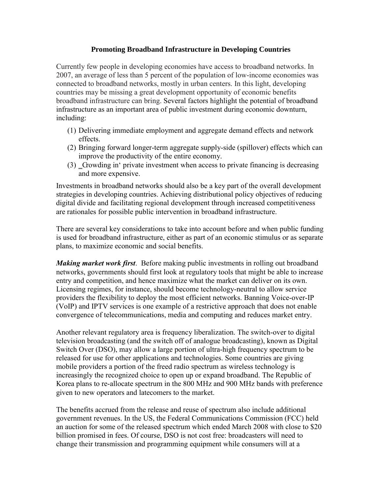# **Promoting Broadband Infrastructure in Developing Countries**

Currently few people in developing economies have access to broadband networks. In 2007, an average of less than 5 percent of the population of low-income economies was connected to broadband networks, mostly in urban centers. In this light, developing countries may be missing a great development opportunity of economic benefits broadband infrastructure can bring. Several factors highlight the potential of broadband infrastructure as an important area of public investment during economic downturn, including:

- (1) Delivering immediate employment and aggregate demand effects and network effects.
- (2) Bringing forward longer-term aggregate supply-side (spillover) effects which can improve the productivity of the entire economy.
- (3) Crowding in' private investment when access to private financing is decreasing and more expensive.

Investments in broadband networks should also be a key part of the overall development strategies in developing countries. Achieving distributional policy objectives of reducing digital divide and facilitating regional development through increased competitiveness are rationales for possible public intervention in broadband infrastructure.

There are several key considerations to take into account before and when public funding is used for broadband infrastructure, either as part of an economic stimulus or as separate plans, to maximize economic and social benefits.

*Making market work first*. Before making public investments in rolling out broadband networks, governments should first look at regulatory tools that might be able to increase entry and competition, and hence maximize what the market can deliver on its own. Licensing regimes, for instance, should become technology-neutral to allow service providers the flexibility to deploy the most efficient networks. Banning Voice-over-IP (VoIP) and IPTV services is one example of a restrictive approach that does not enable convergence of telecommunications, media and computing and reduces market entry.

Another relevant regulatory area is frequency liberalization. The switch-over to digital television broadcasting (and the switch off of analogue broadcasting), known as Digital Switch Over (DSO), may allow a large portion of ultra-high frequency spectrum to be released for use for other applications and technologies. Some countries are giving mobile providers a portion of the freed radio spectrum as wireless technology is increasingly the recognized choice to open up or expand broadband. The Republic of Korea plans to re-allocate spectrum in the 800 MHz and 900 MHz bands with preference given to new operators and latecomers to the market.

The benefits accrued from the release and reuse of spectrum also include additional government revenues. In the US, the Federal Communications Commission (FCC) held an auction for some of the released spectrum which ended March 2008 with close to \$20 billion promised in fees. Of course, DSO is not cost free: broadcasters will need to change their transmission and programming equipment while consumers will at a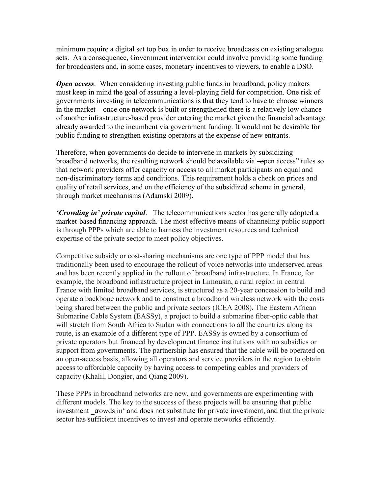minimum require a digital set top box in order to receive broadcasts on existing analogue sets. As a consequence, Government intervention could involve providing some funding for broadcasters and, in some cases, monetary incentives to viewers, to enable a DSO.

*Open access.* When considering investing public funds in broadband, policy makers must keep in mind the goal of assuring a level-playing field for competition. One risk of governments investing in telecommunications is that they tend to have to choose winners in the market—once one network is built or strengthened there is a relatively low chance of another infrastructure-based provider entering the market given the financial advantage already awarded to the incumbent via government funding. It would not be desirable for public funding to strengthen existing operators at the expense of new entrants.

Therefore, when governments do decide to intervene in markets by subsidizing broadband networks, the resulting network should be available via  $\rightarrow$  pen access" rules so that network providers offer capacity or access to all market participants on equal and non-discriminatory terms and conditions. This requirement holds a check on prices and quality of retail services, and on the efficiency of the subsidized scheme in general, through market mechanisms (Adamski 2009).

*'Crowding in' private capital*. The telecommunications sector has generally adopted a market-based financing approach. The most effective means of channeling public support is through PPPs which are able to harness the investment resources and technical expertise of the private sector to meet policy objectives.

Competitive subsidy or cost-sharing mechanisms are one type of PPP model that has traditionally been used to encourage the rollout of voice networks into underserved areas and has been recently applied in the rollout of broadband infrastructure. In France, for example, the broadband infrastructure project in Limousin, a rural region in central France with limited broadband services, is structured as a 20-year concession to build and operate a backbone network and to construct a broadband wireless network with the costs being shared between the public and private sectors (ICEA 2008)**.** The Eastern African Submarine Cable System (EASSy), a project to build a submarine fiber-optic cable that will stretch from South Africa to Sudan with connections to all the countries along its route, is an example of a different type of PPP. EASSy is owned by a consortium of private operators but financed by development finance institutions with no subsidies or support from governments. The partnership has ensured that the cable will be operated on an open-access basis, allowing all operators and service providers in the region to obtain access to affordable capacity by having access to competing cables and providers of capacity (Khalil, Dongier, and Qiang 2009).

These PPPs in broadband networks are new, and governments are experimenting with different models. The key to the success of these projects will be ensuring that public investment crowds in' and does not substitute for private investment, and that the private sector has sufficient incentives to invest and operate networks efficiently.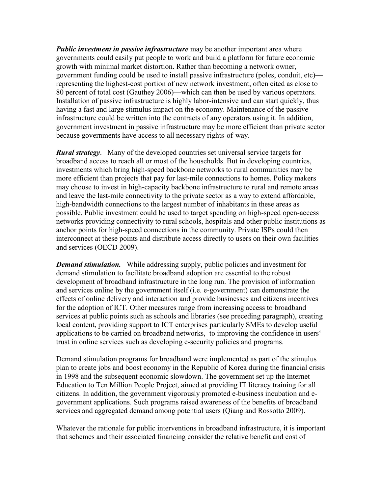*Public investment in passive infrastructure* may be another important area where governments could easily put people to work and build a platform for future economic growth with minimal market distortion. Rather than becoming a network owner, government funding could be used to install passive infrastructure (poles, conduit, etc) representing the highest-cost portion of new network investment, often cited as close to 80 percent of total cost (Gauthey 2006)—which can then be used by various operators. Installation of passive infrastructure is highly labor-intensive and can start quickly, thus having a fast and large stimulus impact on the economy. Maintenance of the passive infrastructure could be written into the contracts of any operators using it. In addition, government investment in passive infrastructure may be more efficient than private sector because governments have access to all necessary rights-of-way.

*Rural strategy*. Many of the developed countries set universal service targets for broadband access to reach all or most of the households. But in developing countries, investments which bring high-speed backbone networks to rural communities may be more efficient than projects that pay for last-mile connections to homes. Policy makers may choose to invest in high-capacity backbone infrastructure to rural and remote areas and leave the last-mile connectivity to the private sector as a way to extend affordable, high-bandwidth connections to the largest number of inhabitants in these areas as possible. Public investment could be used to target spending on high-speed open-access networks providing connectivity to rural schools, hospitals and other public institutions as anchor points for high-speed connections in the community. Private ISPs could then interconnect at these points and distribute access directly to users on their own facilities and services (OECD 2009).

*Demand stimulation.* While addressing supply, public policies and investment for demand stimulation to facilitate broadband adoption are essential to the robust development of broadband infrastructure in the long run. The provision of information and services online by the government itself (i.e. e-government) can demonstrate the effects of online delivery and interaction and provide businesses and citizens incentives for the adoption of ICT. Other measures range from increasing access to broadband services at public points such as schools and libraries (see preceding paragraph), creating local content, providing support to ICT enterprises particularly SMEs to develop useful applications to be carried on broadband networks, to improving the confidence in users' trust in online services such as developing e-security policies and programs.

Demand stimulation programs for broadband were implemented as part of the stimulus plan to create jobs and boost economy in the Republic of Korea during the financial crisis in 1998 and the subsequent economic slowdown. The government set up the Internet Education to Ten Million People Project, aimed at providing IT literacy training for all citizens. In addition, the government vigorously promoted e-business incubation and egovernment applications. Such programs raised awareness of the benefits of broadband services and aggregated demand among potential users (Qiang and Rossotto 2009).

Whatever the rationale for public interventions in broadband infrastructure, it is important that schemes and their associated financing consider the relative benefit and cost of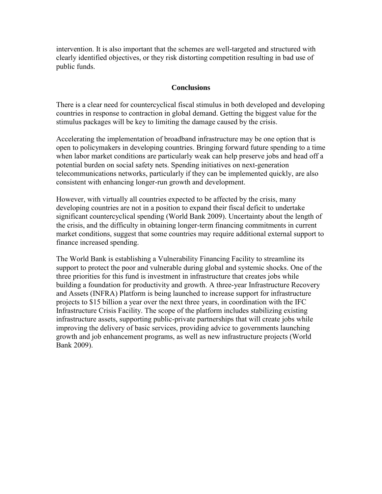intervention. It is also important that the schemes are well-targeted and structured with clearly identified objectives, or they risk distorting competition resulting in bad use of public funds.

# **Conclusions**

There is a clear need for countercyclical fiscal stimulus in both developed and developing countries in response to contraction in global demand. Getting the biggest value for the stimulus packages will be key to limiting the damage caused by the crisis.

Accelerating the implementation of broadband infrastructure may be one option that is open to policymakers in developing countries. Bringing forward future spending to a time when labor market conditions are particularly weak can help preserve jobs and head off a potential burden on social safety nets. Spending initiatives on next-generation telecommunications networks, particularly if they can be implemented quickly, are also consistent with enhancing longer-run growth and development.

However, with virtually all countries expected to be affected by the crisis, many developing countries are not in a position to expand their fiscal deficit to undertake significant countercyclical spending (World Bank 2009). Uncertainty about the length of the crisis, and the difficulty in obtaining longer-term financing commitments in current market conditions, suggest that some countries may require additional external support to finance increased spending.

The World Bank is establishing a Vulnerability Financing Facility to streamline its support to protect the poor and vulnerable during global and systemic shocks. One of the three priorities for this fund is investment in infrastructure that creates jobs while building a foundation for productivity and growth. A three-year Infrastructure Recovery and Assets (INFRA) Platform is being launched to increase support for infrastructure projects to \$15 billion a year over the next three years, in coordination with the IFC Infrastructure Crisis Facility. The scope of the platform includes stabilizing existing infrastructure assets, supporting public-private partnerships that will create jobs while improving the delivery of basic services, providing advice to governments launching growth and job enhancement programs, as well as new infrastructure projects (World Bank 2009).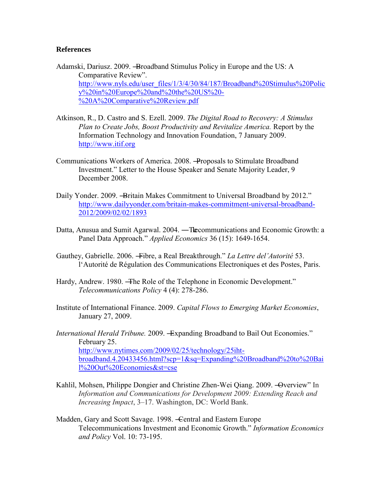#### **References**

- Adamski, Dariusz. 2009. ―Broadband Stimulus Policy in Europe and the US: A Comparative Review". [http://www.nyls.edu/user\\_files/1/3/4/30/84/187/Broadband%20Stimulus%20Polic](http://www.nyls.edu/user_files/1/3/4/30/84/187/Broadband%20Stimulus%20Policy%20in%20Europe%20and%20the%20US%20-%20A%20Comparative%20Review.pdf) [y%20in%20Europe%20and%20the%20US%20-](http://www.nyls.edu/user_files/1/3/4/30/84/187/Broadband%20Stimulus%20Policy%20in%20Europe%20and%20the%20US%20-%20A%20Comparative%20Review.pdf) [%20A%20Comparative%20Review.pdf](http://www.nyls.edu/user_files/1/3/4/30/84/187/Broadband%20Stimulus%20Policy%20in%20Europe%20and%20the%20US%20-%20A%20Comparative%20Review.pdf)
- Atkinson, R., D. Castro and S. Ezell. 2009. *The Digital Road to Recovery: A Stimulus Plan to Create Jobs, Boost Productivity and Revitalize America.* Report by the Information Technology and Innovation Foundation, 7 January 2009. [http://www.itif.org](http://www.itif.org/)
- Communications Workers of America. 2008. ―Proposals to Stimulate Broadband Investment." Letter to the House Speaker and Senate Majority Leader, 9 December 2008.
- Daily Yonder. 2009. Britain Makes Commitment to Universal Broadband by 2012." [http://www.dailyyonder.com/britain-makes-commitment-universal-broadband-](http://www.dailyyonder.com/britain-makes-commitment-universal-broadband-2012/2009/02/02/1893)[2012/2009/02/02/1893](http://www.dailyyonder.com/britain-makes-commitment-universal-broadband-2012/2009/02/02/1893)
- Datta, Anusua and Sumit Agarwal. 2004. Trecommunications and Economic Growth: a Panel Data Approach." *Applied Economics* 36 (15): 1649-1654.
- Gauthey, Gabrielle. 2006. <del>– F</del>ibre, a Real Breakthrough." *La Lettre del'Autorité* 53. l'Autorité de Régulation des Communications Electroniques et des Postes, Paris.
- Hardy, Andrew. 1980. The Role of the Telephone in Economic Development." *Telecommunications Policy* 4 (4): 278-286.
- Institute of International Finance. 2009. *Capital Flows to Emerging Market Economies*, January 27, 2009.
- *International Herald Tribune.* 2009. Expanding Broadband to Bail Out Economies." February 25. [http://www.nytimes.com/2009/02/25/technology/25iht](http://www.nytimes.com/2009/02/25/technology/25iht-broadband.4.20433456.html?scp=1&sq=Expanding%20Broadband%20to%20Bail%20Out%20Economies&st=cse)[broadband.4.20433456.html?scp=1&sq=Expanding%20Broadband%20to%20Bai](http://www.nytimes.com/2009/02/25/technology/25iht-broadband.4.20433456.html?scp=1&sq=Expanding%20Broadband%20to%20Bail%20Out%20Economies&st=cse) [l%20Out%20Economies&st=cse](http://www.nytimes.com/2009/02/25/technology/25iht-broadband.4.20433456.html?scp=1&sq=Expanding%20Broadband%20to%20Bail%20Out%20Economies&st=cse)
- Kahlil, Mohsen, Philippe Dongier and Christine Zhen-Wei Qiang. 2009. Overview" In *Information and Communications for Development 2009: Extending Reach and Increasing Impact*, 3–17. Washington, DC: World Bank.
- Madden, Gary and Scott Savage. 1998. Central and Eastern Europe Telecommunications Investment and Economic Growth.‖ *Information Economics and Policy* Vol. 10: 73-195.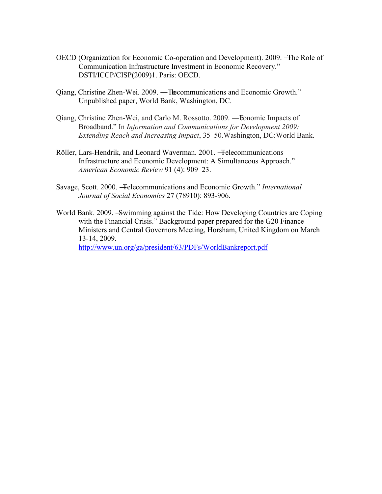- OECD (Organization for Economic Co-operation and Development). 2009. ―The Role of Communication Infrastructure Investment in Economic Recovery." DSTI/ICCP/CISP(2009)1. Paris: OECD.
- Oiang, Christine Zhen-Wei. 2009. Tecommunications and Economic Growth." Unpublished paper, World Bank, Washington, DC.
- Qiang, Christine Zhen-Wei, and Carlo M. Rossotto. 2009. Economic Impacts of Broadband." In *Information and Communications for Development 2009: Extending Reach and Increasing Impact*, 35–50.Washington, DC:World Bank.
- Röller, Lars-Hendrik, and Leonard Waverman. 2001. ―Telecommunications Infrastructure and Economic Development: A Simultaneous Approach." *American Economic Review* 91 (4): 909–23.
- Savage, Scott. 2000. Felecommunications and Economic Growth." *International Journal of Social Economics* 27 (78910): 893-906.
- World Bank. 2009. Swimming against the Tide: How Developing Countries are Coping with the Financial Crisis." Background paper prepared for the G20 Finance Ministers and Central Governors Meeting, Horsham, United Kingdom on March 13-14, 2009. <http://www.un.org/ga/president/63/PDFs/WorldBankreport.pdf>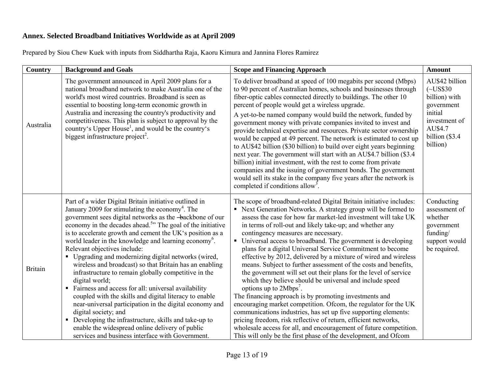# **Annex. Selected Broadband Initiatives Worldwide as at April 2009**

Prepared by Siou Chew Kuek with inputs from Siddhartha Raja, Kaoru Kimura and Jannina Flores Ramirez

| Country        | <b>Background and Goals</b>                                                                                                                                                                                                                                                                                                                                                                                                                                                                                                                                                                                                                                                                                                                                                                                                                                                                                                                                                                            | <b>Scope and Financing Approach</b>                                                                                                                                                                                                                                                                                                                                                                                                                                                                                                                                                                                                                                                                                                                                                                                                                                                                                                                                                                                                                                                                                                                             | <b>Amount</b>                                                                                                                         |
|----------------|--------------------------------------------------------------------------------------------------------------------------------------------------------------------------------------------------------------------------------------------------------------------------------------------------------------------------------------------------------------------------------------------------------------------------------------------------------------------------------------------------------------------------------------------------------------------------------------------------------------------------------------------------------------------------------------------------------------------------------------------------------------------------------------------------------------------------------------------------------------------------------------------------------------------------------------------------------------------------------------------------------|-----------------------------------------------------------------------------------------------------------------------------------------------------------------------------------------------------------------------------------------------------------------------------------------------------------------------------------------------------------------------------------------------------------------------------------------------------------------------------------------------------------------------------------------------------------------------------------------------------------------------------------------------------------------------------------------------------------------------------------------------------------------------------------------------------------------------------------------------------------------------------------------------------------------------------------------------------------------------------------------------------------------------------------------------------------------------------------------------------------------------------------------------------------------|---------------------------------------------------------------------------------------------------------------------------------------|
| Australia      | The government announced in April 2009 plans for a<br>national broadband network to make Australia one of the<br>world's most wired countries. Broadband is seen as<br>essential to boosting long-term economic growth in<br>Australia and increasing the country's productivity and<br>competitiveness. This plan is subject to approval by the<br>country's Upper House <sup>1</sup> , and would be the country's<br>biggest infrastructure project <sup>2</sup> .                                                                                                                                                                                                                                                                                                                                                                                                                                                                                                                                   | To deliver broadband at speed of 100 megabits per second (Mbps)<br>to 90 percent of Australian homes, schools and businesses through<br>fiber-optic cables connected directly to buildings. The other 10<br>percent of people would get a wireless upgrade.<br>A yet-to-be named company would build the network, funded by<br>government money with private companies invited to invest and<br>provide technical expertise and resources. Private sector ownership<br>would be capped at 49 percent. The network is estimated to cost up<br>to AU\$42 billion (\$30 billion) to build over eight years beginning<br>next year. The government will start with an AU\$4.7 billion (\$3.4)<br>billion) initial investment, with the rest to come from private<br>companies and the issuing of government bonds. The government<br>would sell its stake in the company five years after the network is<br>completed if conditions allow <sup>3</sup> .                                                                                                                                                                                                            | AU\$42 billion<br>$(\sim USS30$<br>billion) with<br>government<br>initial<br>investment of<br>AU\$4.7<br>billion $(\$3.4$<br>billion) |
| <b>Britain</b> | Part of a wider Digital Britain initiative outlined in<br>January 2009 for stimulating the economy <sup>4</sup> . The<br>government sees digital networks as the -backbone of our<br>economy in the decades ahead. <sup>5</sup> The goal of the initiative<br>is to accelerate growth and cement the UK's position as a<br>world leader in the knowledge and learning economy <sup>6</sup> .<br>Relevant objectives include:<br>Upgrading and modernizing digital networks (wired,<br>٠<br>wireless and broadcast) so that Britain has an enabling<br>infrastructure to remain globally competitive in the<br>digital world;<br>• Fairness and access for all: universal availability<br>coupled with the skills and digital literacy to enable<br>near-universal participation in the digital economy and<br>digital society; and<br>Developing the infrastructure, skills and take-up to<br>٠<br>enable the widespread online delivery of public<br>services and business interface with Government. | The scope of broadband-related Digital Britain initiative includes:<br>• Next Generation Networks. A strategy group will be formed to<br>assess the case for how far market-led investment will take UK<br>in terms of roll-out and likely take-up; and whether any<br>contingency measures are necessary.<br>Universal access to broadband. The government is developing<br>plans for a digital Universal Service Commitment to become<br>effective by 2012, delivered by a mixture of wired and wireless<br>means. Subject to further assessment of the costs and benefits,<br>the government will set out their plans for the level of service<br>which they believe should be universal and include speed<br>options up to 2Mbps <sup>7</sup> .<br>The financing approach is by promoting investments and<br>encouraging market competition. Ofcom, the regulator for the UK<br>communications industries, has set up five supporting elements:<br>pricing freedom, risk reflective of return, efficient networks,<br>wholesale access for all, and encouragement of future competition.<br>This will only be the first phase of the development, and Ofcom | Conducting<br>assessment of<br>whether<br>government<br>funding/<br>support would<br>be required.                                     |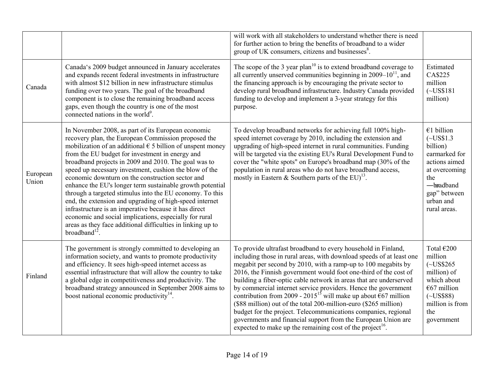|                   |                                                                                                                                                                                                                                                                                                                                                                                                                                                                                                                                                                                                                                                                                                                                                                                                              | will work with all stakeholders to understand whether there is need<br>for further action to bring the benefits of broadband to a wider<br>group of UK consumers, citizens and businesses <sup>8</sup> .                                                                                                                                                                                                                                                                                                                                                                                                                                                                                                                                                                                   |                                                                                                                                                              |
|-------------------|--------------------------------------------------------------------------------------------------------------------------------------------------------------------------------------------------------------------------------------------------------------------------------------------------------------------------------------------------------------------------------------------------------------------------------------------------------------------------------------------------------------------------------------------------------------------------------------------------------------------------------------------------------------------------------------------------------------------------------------------------------------------------------------------------------------|--------------------------------------------------------------------------------------------------------------------------------------------------------------------------------------------------------------------------------------------------------------------------------------------------------------------------------------------------------------------------------------------------------------------------------------------------------------------------------------------------------------------------------------------------------------------------------------------------------------------------------------------------------------------------------------------------------------------------------------------------------------------------------------------|--------------------------------------------------------------------------------------------------------------------------------------------------------------|
| Canada            | Canada's 2009 budget announced in January accelerates<br>and expands recent federal investments in infrastructure<br>with almost \$12 billion in new infrastructure stimulus<br>funding over two years. The goal of the broadband<br>component is to close the remaining broadband access<br>gaps, even though the country is one of the most<br>connected nations in the world <sup>9</sup> .                                                                                                                                                                                                                                                                                                                                                                                                               | The scope of the 3 year plan <sup>10</sup> is to extend broadband coverage to<br>all currently unserved communities beginning in $2009-10^{11}$ , and<br>the financing approach is by encouraging the private sector to<br>develop rural broadband infrastructure. Industry Canada provided<br>funding to develop and implement a 3-year strategy for this<br>purpose.                                                                                                                                                                                                                                                                                                                                                                                                                     | Estimated<br>CA\$225<br>million<br>$(\sim USS181$<br>million)                                                                                                |
| European<br>Union | In November 2008, as part of its European economic<br>recovery plan, the European Commission proposed the<br>mobilization of an additional $\epsilon$ 5 billion of unspent money<br>from the EU budget for investment in energy and<br>broadband projects in 2009 and 2010. The goal was to<br>speed up necessary investment, cushion the blow of the<br>economic downturn on the construction sector and<br>enhance the EU's longer term sustainable growth potential<br>through a targeted stimulus into the EU economy. To this<br>end, the extension and upgrading of high-speed internet<br>infrastructure is an imperative because it has direct<br>economic and social implications, especially for rural<br>areas as they face additional difficulties in linking up to<br>broadband <sup>12</sup> . | To develop broadband networks for achieving full 100% high-<br>speed internet coverage by 2010, including the extension and<br>upgrading of high-speed internet in rural communities. Funding<br>will be targeted via the existing EU's Rural Development Fund to<br>cover the "white spots" on Europe's broadband map (30% of the<br>population in rural areas who do not have broadband access,<br>mostly in Eastern & Southern parts of the $EU$ <sup>13</sup> .                                                                                                                                                                                                                                                                                                                        | €1 billion<br>$(\sim USS1.3$<br>billion)<br>earmarked for<br>actions aimed<br>at overcoming<br>the<br>-bradband<br>gap" between<br>urban and<br>rural areas. |
| Finland           | The government is strongly committed to developing an<br>information society, and wants to promote productivity<br>and efficiency. It sees high-speed internet access as<br>essential infrastructure that will allow the country to take<br>a global edge in competitiveness and productivity. The<br>broadband strategy announced in September 2008 aims to<br>boost national economic productivity $14$ .                                                                                                                                                                                                                                                                                                                                                                                                  | To provide ultrafast broadband to every household in Finland,<br>including those in rural areas, with download speeds of at least one<br>megabit per second by 2010, with a ramp-up to 100 megabits by<br>2016, the Finnish government would foot one-third of the cost of<br>building a fiber-optic cable network in areas that are underserved<br>by commercial internet service providers. Hence the government<br>contribution from 2009 - 2015 <sup>15</sup> will make up about $\epsilon$ 67 million<br>(\$88 million) out of the total 200-million-euro (\$265 million)<br>budget for the project. Telecommunications companies, regional<br>governments and financial support from the European Union are<br>expected to make up the remaining cost of the project <sup>16</sup> . | Total €200<br>million<br>$(\sim USS265$<br>million) of<br>which about<br>€67 million<br>$(\sim USS 88)$<br>million is from<br>the<br>government              |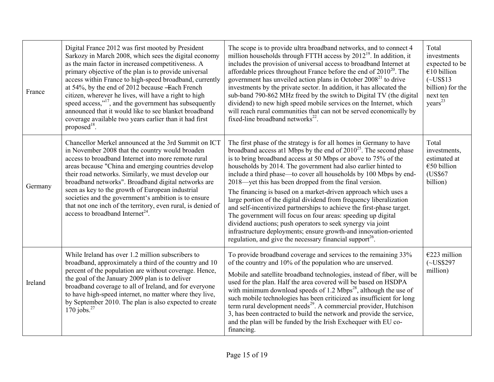| France  | Digital France 2012 was first mooted by President<br>Sarkozy in March 2008, which sees the digital economy<br>as the main factor in increased competitiveness. A<br>primary objective of the plan is to provide universal<br>access within France to high-speed broadband, currently<br>at 54%, by the end of 2012 because -Each French<br>citizen, wherever he lives, will have a right to high<br>speed access," <sup>17</sup> , and the government has subsequently<br>announced that it would like to see blanket broadband<br>coverage available two years earlier than it had first<br>proposed $^{18}$ . | The scope is to provide ultra broadband networks, and to connect 4<br>million households through FTTH access by $2012^{19}$ . In addition, it<br>includes the provision of universal access to broadband Internet at<br>affordable prices throughout France before the end of 2010 <sup>20</sup> . The<br>government has unveiled action plans in October 2008 <sup>21</sup> to drive<br>investments by the private sector. In addition, it has allocated the<br>sub-band 790-862 MHz freed by the switch to Digital TV (the digital<br>dividend) to new high speed mobile services on the Internet, which<br>will reach rural communities that can not be served economically by<br>fixed-line broadband networks <sup>22</sup> .                                                                                                                                                                                    | Total<br>investments<br>expected to be<br>€10 billion<br>$(\sim USS13$<br>billion) for the<br>next ten<br>years <sup>23</sup> |
|---------|-----------------------------------------------------------------------------------------------------------------------------------------------------------------------------------------------------------------------------------------------------------------------------------------------------------------------------------------------------------------------------------------------------------------------------------------------------------------------------------------------------------------------------------------------------------------------------------------------------------------|-----------------------------------------------------------------------------------------------------------------------------------------------------------------------------------------------------------------------------------------------------------------------------------------------------------------------------------------------------------------------------------------------------------------------------------------------------------------------------------------------------------------------------------------------------------------------------------------------------------------------------------------------------------------------------------------------------------------------------------------------------------------------------------------------------------------------------------------------------------------------------------------------------------------------|-------------------------------------------------------------------------------------------------------------------------------|
| Germany | Chancellor Merkel announced at the 3rd Summit on ICT<br>in November 2008 that the country would broaden<br>access to broadband Internet into more remote rural<br>areas because "China and emerging countries develop<br>their road networks. Similarly, we must develop our<br>broadband networks". Broadband digital networks are<br>seen as key to the growth of European industrial<br>societies and the government's ambition is to ensure<br>that not one inch of the territory, even rural, is denied of<br>access to broadband Internet <sup>24</sup> .                                                 | The first phase of the strategy is for all homes in Germany to have<br>broadband access at1 Mbps by the end of 2010 <sup>25</sup> . The second phase<br>is to bring broadband access at 50 Mbps or above to 75% of the<br>households by 2014. The government had also earlier hinted to<br>include a third phase—to cover all households by 100 Mbps by end-<br>2018—yet this has been dropped from the final version.<br>The financing is based on a market-driven approach which uses a<br>large portion of the digital dividend from frequency liberalization<br>and self-incentivized partnerships to achieve the first-phase target.<br>The government will focus on four areas: speeding up digital<br>dividend auctions; push operators to seek synergy via joint<br>infrastructure deployments; ensure growth-and innovation-oriented<br>regulation, and give the necessary financial support <sup>26</sup> . | Total<br>investments,<br>estimated at<br>€50 billion<br>(US\$67<br>billion)                                                   |
| Ireland | While Ireland has over 1.2 million subscribers to<br>broadband, approximately a third of the country and 10<br>percent of the population are without coverage. Hence,<br>the goal of the January 2009 plan is to deliver<br>broadband coverage to all of Ireland, and for everyone<br>to have high-speed internet, no matter where they live,<br>by September 2010. The plan is also expected to create<br>170 jobs. $^{27}$                                                                                                                                                                                    | To provide broadband coverage and services to the remaining 33%<br>of the country and 10% of the population who are unserved.<br>Mobile and satellite broadband technologies, instead of fiber, will be<br>used for the plan. Half the area covered will be based on HSDPA<br>with minimum download speeds of 1.2 Mbps <sup>28</sup> , although the use of<br>such mobile technologies has been criticized as insufficient for long<br>term rural development needs <sup>29</sup> . A commercial provider, Hutchison<br>3, has been contracted to build the network and provide the service,<br>and the plan will be funded by the Irish Exchequer with EU co-<br>financing.                                                                                                                                                                                                                                          | $E223$ million<br>$(-USS297$<br>million)                                                                                      |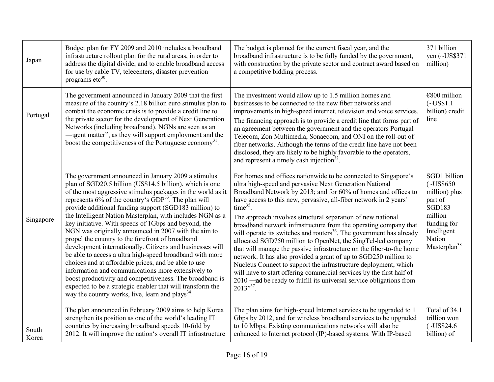| Japan          | Budget plan for FY 2009 and 2010 includes a broadband<br>infrastructure rollout plan for the rural areas, in order to<br>address the digital divide, and to enable broadband access<br>for use by cable TV, telecenters, disaster prevention<br>programs etc <sup>30</sup> .                                                                                                                                                                                                                                                                                                                                                                                                                                                                                                                                                                                                                                                                                                   | The budget is planned for the current fiscal year, and the<br>broadband infrastructure is to be fully funded by the government,<br>with construction by the private sector and contract award based on<br>a competitive bidding process.                                                                                                                                                                                                                                                                                                                                                                                                                                                                                                                                                                                                                                                                                                                 | 371 billion<br>yen (~US\$371<br>million)                                                                                                                    |
|----------------|--------------------------------------------------------------------------------------------------------------------------------------------------------------------------------------------------------------------------------------------------------------------------------------------------------------------------------------------------------------------------------------------------------------------------------------------------------------------------------------------------------------------------------------------------------------------------------------------------------------------------------------------------------------------------------------------------------------------------------------------------------------------------------------------------------------------------------------------------------------------------------------------------------------------------------------------------------------------------------|----------------------------------------------------------------------------------------------------------------------------------------------------------------------------------------------------------------------------------------------------------------------------------------------------------------------------------------------------------------------------------------------------------------------------------------------------------------------------------------------------------------------------------------------------------------------------------------------------------------------------------------------------------------------------------------------------------------------------------------------------------------------------------------------------------------------------------------------------------------------------------------------------------------------------------------------------------|-------------------------------------------------------------------------------------------------------------------------------------------------------------|
| Portugal       | The government announced in January 2009 that the first<br>measure of the country's 2.18 billion euro stimulus plan to<br>combat the economic crisis is to provide a credit line to<br>the private sector for the development of Next Generation<br>Networks (including broadband). NGNs are seen as an<br>- ugent matter", as they will support employment and the<br>boost the competitiveness of the Portuguese economy <sup>31</sup> .                                                                                                                                                                                                                                                                                                                                                                                                                                                                                                                                     | The investment would allow up to 1.5 million homes and<br>businesses to be connected to the new fiber networks and<br>improvements in high-speed internet, television and voice services.<br>The financing approach is to provide a credit line that forms part of<br>an agreement between the government and the operators Portugal<br>Telecom, Zon Multimedia, Sonaecom, and ONI on the roll-out of<br>fiber networks. Although the terms of the credit line have not been<br>disclosed, they are likely to be highly favorable to the operators,<br>and represent a timely cash injection <sup>32</sup> .                                                                                                                                                                                                                                                                                                                                             | $€800$ million<br>$(\sim USS1.1$<br>billion) credit<br>line                                                                                                 |
| Singapore      | The government announced in January 2009 a stimulus<br>plan of SGD20.5 billion (US\$14.5 billion), which is one<br>of the most aggressive stimulus packages in the world as it<br>represents 6% of the country's GDP <sup>33</sup> . The plan will<br>provide additional funding support (SGD183 million) to<br>the Intelligent Nation Masterplan, with includes NGN as a<br>key initiative. With speeds of 1Gbps and beyond, the<br>NGN was originally announced in 2007 with the aim to<br>propel the country to the forefront of broadband<br>development internationally. Citizens and businesses will<br>be able to access a ultra high-speed broadband with more<br>choices and at affordable prices, and be able to use<br>information and communications more extensively to<br>boost productivity and competitiveness. The broadband is<br>expected to be a strategic enabler that will transform the<br>way the country works, live, learn and plays <sup>34</sup> . | For homes and offices nationwide to be connected to Singapore's<br>ultra high-speed and pervasive Next Generation National<br>Broadband Network by 2013; and for 60% of homes and offices to<br>have access to this new, pervasive, all-fiber network in 2 years'<br>$time^{35}$ .<br>The approach involves structural separation of new national<br>broadband network infrastructure from the operating company that<br>will operate its switches and routers <sup>36</sup> . The government has already<br>allocated SGD750 million to OpenNet, the SingTel-led company<br>that will manage the passive infrastructure on the fiber-to-the home<br>network. It has also provided a grant of up to SGD250 million to<br>Nucleus Connect to support the infrastructure deployment, which<br>will have to start offering commercial services by the first half of<br>2010 —ad be ready to fulfill its universal service obligations from<br>$2013^{37}$ . | SGD1 billion<br>$(\sim USS 650$<br>million) plus<br>part of<br><b>SGD183</b><br>million<br>funding for<br>Intelligent<br>Nation<br>Masterplan <sup>38</sup> |
| South<br>Korea | The plan announced in February 2009 aims to help Korea<br>strengthen its position as one of the world's leading IT<br>countries by increasing broadband speeds 10-fold by<br>2012. It will improve the nation's overall IT infrastructure                                                                                                                                                                                                                                                                                                                                                                                                                                                                                                                                                                                                                                                                                                                                      | The plan aims for high-speed Internet services to be upgraded to 1<br>Gbps by 2012, and for wireless broadband services to be upgraded<br>to 10 Mbps. Existing communications networks will also be<br>enhanced to Internet protocol (IP)-based systems. With IP-based                                                                                                                                                                                                                                                                                                                                                                                                                                                                                                                                                                                                                                                                                   | Total of 34.1<br>trillion won<br>$(\sim USS24.6$<br>billion) of                                                                                             |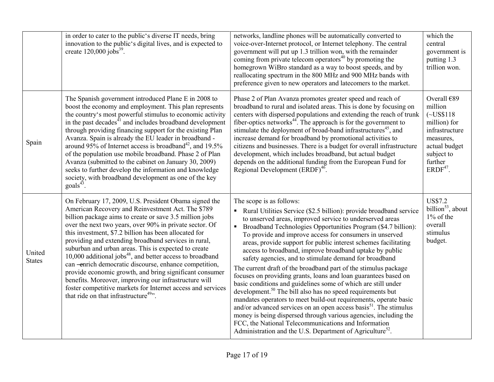|                         | in order to cater to the public's diverse IT needs, bring<br>innovation to the public's digital lives, and is expected to<br>create $120,000$ jobs <sup>39</sup> .                                                                                                                                                                                                                                                                                                                                                                                                                                                                                                                                                                                                                    | networks, landline phones will be automatically converted to<br>voice-over-Internet protocol, or Internet telephony. The central<br>government will put up 1.3 trillion won, with the remainder<br>coming from private telecom operators <sup>40</sup> by promoting the<br>homegrown WiBro standard as a way to boost speeds, and by<br>reallocating spectrum in the 800 MHz and 900 MHz bands with<br>preference given to new operators and latecomers to the market.                                                                                                                                                                                                                                                                                                                                                                                                                                                                                                                                                                                                                                                    | which the<br>central<br>government is<br>putting 1.3<br>trillion won.                                                                             |
|-------------------------|---------------------------------------------------------------------------------------------------------------------------------------------------------------------------------------------------------------------------------------------------------------------------------------------------------------------------------------------------------------------------------------------------------------------------------------------------------------------------------------------------------------------------------------------------------------------------------------------------------------------------------------------------------------------------------------------------------------------------------------------------------------------------------------|---------------------------------------------------------------------------------------------------------------------------------------------------------------------------------------------------------------------------------------------------------------------------------------------------------------------------------------------------------------------------------------------------------------------------------------------------------------------------------------------------------------------------------------------------------------------------------------------------------------------------------------------------------------------------------------------------------------------------------------------------------------------------------------------------------------------------------------------------------------------------------------------------------------------------------------------------------------------------------------------------------------------------------------------------------------------------------------------------------------------------|---------------------------------------------------------------------------------------------------------------------------------------------------|
| Spain                   | The Spanish government introduced Plane E in 2008 to<br>boost the economy and employment. This plan represents<br>the country's most powerful stimulus to economic activity<br>in the past decades <sup>41</sup> and includes broadband development<br>through providing financing support for the existing Plan<br>Avanza. Spain is already the EU leader in broadband -<br>around 95% of Internet access is broadband <sup>42</sup> , and 19.5%<br>of the population use mobile broadband. Phase 2 of Plan<br>Avanza (submitted to the cabinet on January 30, 2009)<br>seeks to further develop the information and knowledge<br>society, with broadband development as one of the key<br>$goals43$ .                                                                               | Phase 2 of Plan Avanza promotes greater speed and reach of<br>broadband to rural and isolated areas. This is done by focusing on<br>centers with dispersed populations and extending the reach of trunk<br>fiber-optics networks <sup>44</sup> . The approach is for the government to<br>stimulate the deployment of broad-band infrastructures <sup>45</sup> , and<br>increase demand for broadband by promotional activities to<br>citizens and businesses. There is a budget for overall infrastructure<br>development, which includes broadband, but actual budget<br>depends on the additional funding from the European Fund for<br>Regional Development (ERDF) <sup>46</sup> .                                                                                                                                                                                                                                                                                                                                                                                                                                    | Overall $€89$<br>million<br>$(\sim USS118$<br>million) for<br>infrastructure<br>measures,<br>actual budget<br>subject to<br>further<br>$ERDF47$ . |
| United<br><b>States</b> | On February 17, 2009, U.S. President Obama signed the<br>American Recovery and Reinvestment Act. The \$789<br>billion package aims to create or save 3.5 million jobs<br>over the next two years, over 90% in private sector. Of<br>this investment, \$7.2 billion has been allocated for<br>providing and extending broadband services in rural,<br>suburban and urban areas. This is expected to create<br>$10,000$ additional jobs <sup>48</sup> , and better access to broadband<br>can -enrich democratic discourse, enhance competition,<br>provide economic growth, and bring significant consumer<br>benefits. Moreover, improving our infrastructure will<br>foster competitive markets for Internet access and services<br>that ride on that infrastructure <sup>49</sup> . | The scope is as follows:<br>Rural Utilities Service (\$2.5 billion): provide broadband service<br>to unserved areas, improved service to underserved areas<br>Broadband Technologies Opportunities Program (\$4.7 billion):<br>To provide and improve access for consumers in unserved<br>areas, provide support for public interest schemes facilitating<br>access to broadband, improve broadband uptake by public<br>safety agencies, and to stimulate demand for broadband<br>The current draft of the broadband part of the stimulus package<br>focuses on providing grants, loans and loan guarantees based on<br>basic conditions and guidelines some of which are still under<br>development. <sup>50</sup> The bill also has no speed requirements but<br>mandates operators to meet build-out requirements, operate basic<br>and/or advanced services on an open access basis <sup>51</sup> . The stimulus<br>money is being dispersed through various agencies, including the<br>FCC, the National Telecommunications and Information<br>Administration and the U.S. Department of Agriculture <sup>52</sup> . | <b>US\$7.2</b><br>billion <sup>53</sup> , about<br>$1\%$ of the<br>overall<br>stimulus<br>budget.                                                 |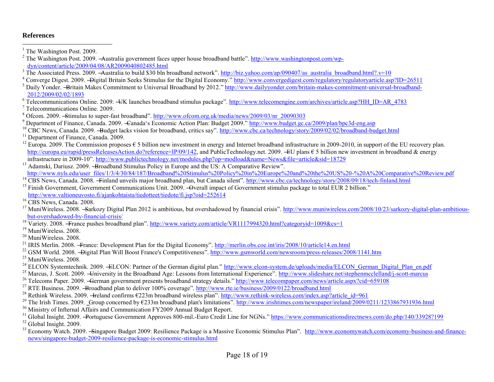## **References**

- <sup>2</sup> The Washington Post. 2009. —Australia government faces upper house broadband battle". [http://www.washingtonpost.com/wp](http://www.washingtonpost.com/wp-dyn/content/article/2009/04/08/AR2009040802485.html)[dyn/content/article/2009/04/08/AR2009040802485.html](http://www.washingtonpost.com/wp-dyn/content/article/2009/04/08/AR2009040802485.html)
- <sup>3</sup> The Associated Press. 2009. —Australia to build \$30 bln broadband network". http://biz.yahoo.com/ap/090407/as\_australia\_broadband.html?.v=10
- <sup>4</sup> Converge Digest. 2009. –Digital Britain Seeks Stimulus for the Digital Economy." http://www.convergedigest.com/regulatory/regulatoryarticle.asp?ID=26511
- <sup>5</sup> Daily Yonder. -Britain Makes Commitment to Universal Broadband by 2012." [http://www.dailyyonder.com/britain-makes-commitment-universal-broadband-](http://www.dailyyonder.com/britain-makes-commitment-universal-broadband-2012/2009/02/02/1893)[2012/2009/02/02/1893](http://www.dailyyonder.com/britain-makes-commitment-universal-broadband-2012/2009/02/02/1893)
- <sup>6</sup> Telecommunications Online. 2009. –UK launches broadband stimulus package". http://www.telecomengine.com/archives/article.asp?HH\_ID=AR\_4783
- 7 Telecommunications Online. 2009.
- <sup>8</sup> Ofcom. 2009. –Stimulus to super-fast broadband". http://www.ofcom.org.uk/media/news/2009/03/nr\_20090303
- <sup>9</sup> Department of Finance, Canada. 2009. –Canada's Economic Action Plan: Budget 2009." http://www.budget.gc.ca/2009/plan/bpc3d-eng.asp
- <sup>10</sup> CBC News, Canada. 2009. —Budget lacks vision for broadband, critics say". http://www.cbc.ca/technology/story/2009/02/02/broadband-budget.html
- <sup>11</sup> Department of Finance, Canada. 2009.
- <sup>12</sup> Europa. 2009. The Commission proposes  $\epsilon$  5 billion new investment in energy and Internet broadband infrastructure in 2009-2010, in support of the EU recovery plan. [http://europa.eu/rapid/pressReleasesAction.do?reference=IP/09/142,](http://europa.eu/rapid/pressReleasesAction.do?reference=IP/09/142) and PublicTechnology.net. 2009. —EU plans  $\epsilon$  5 billion new investment in broadband & energy
- infrastructure in 2009-10". <http://www.publictechnology.net/modules.php?op=modload&name=News&file=article&sid=18729>
- <sup>13</sup> Adamski, Dariusz. 2009. <del>B</del>roadband Stimulus Policy in Europe and the US: A Comparative Review".
- [http://www.nyls.edu/user\\_files/1/3/4/30/84/187/Broadband%20Stimulus%20Policy%20in%20Europe%20and%20the%20US%20-%20A%20Comparative%20Review.pdf](http://www.nyls.edu/user_files/1/3/4/30/84/187/Broadband%20Stimulus%20Policy%20in%20Europe%20and%20the%20US%20-%20A%20Comparative%20Review.pdf)
- <sup>14</sup> CBS News, Canada. 2008. Finland unveils major broadband plan, but Canada silent". http://www.cbc.ca/technology/story/2008/09/18/tech-finland.html <sup>15</sup> Finish Government, Government Communications Unit. 2009. —Overall impact of Government stimulus package to total EUR 2 billion."
- <http://www.valtioneuvosto.fi/ajankohtaista/tiedotteet/tiedote/fi.jsp?oid=252614>

- <sup>17</sup> MuniWireless. 2008. –Sarkozy Digital Plan 2012 is ambitious, but overshadowed by financial crisis". [http://www.muniwireless.com/2008/10/23/sarkozy-digital-plan-ambitious](http://www.muniwireless.com/2008/10/23/sarkozy-digital-plan-ambitious-but-overshadowed-by-financial-crisis/)[but-overshadowed-by-financial-crisis/](http://www.muniwireless.com/2008/10/23/sarkozy-digital-plan-ambitious-but-overshadowed-by-financial-crisis/)
- <sup>18</sup> Variety. 2008. —France pushes broadband plan". http://www.variety.com/article/VR1117994320.html?categoryid=1009&cs=1
- <sup>19</sup> MuniWireless. 2008.
- <sup>20</sup> MuniWireless. 2008.
- <sup>21</sup> IRIS Merlin. 2008. –France: Development Plan for the Digital Economy". http://merlin.obs.coe.int/iris/2008/10/article14.en.html
- <sup>22</sup> GSM World. 2008. –Digital Plan Will Boost France's Competitiveness". http://www.gsmworld.com/newsroom/press-releases/2008/1141.htm
- <sup>23</sup> MuniWireless. 2008.
- <sup>24</sup> ELCON Systemtechnik. 2009. —ELCON: Partner of the German digital plan." http://www.elcon-system.de/uploads/media/ELCON\_German\_Digital\_Plan\_en.pdf
- <sup>25</sup> Marcus, J. Scott. 2009. –University in the Broadband Age: Lessons from International Experience". http://www.slideshare.net/stephenmcclelland/j-scott-marcus
- <sup>26</sup> Telecoms Paper. 2009. –German government presents broadband strategy details." http://www.telecompaper.com/news/article.aspx?cid=659108
- <sup>27</sup> RTE Business. 2009. -Broadband plan to deliver 100% coverage". http://www.rte.ie/business/2009/0122/broadband.html
- <sup>28</sup> Rethink Wireless. 2009. —Heland confirms  $\epsilon$ 223m broadband wireless plan". http://www.rethink-wireless.com/index.asp?article\_id=961
- <sup>29</sup> The Irish Times. 2009. Group concerned by  $\epsilon$ 233m broadband plan's limitations". http://www.irishtimes.com/newspaper/ireland/2009/0211/1233867931936.html
- <sup>30</sup> Ministry of Infternal Affairs and Communication FY2009 Annual Budget Report.
- $^{31}$  Global Insight. 2009. —Portuguese Government Approves 800-mil.-Euro Credit Line for NGNs." https://www.communicationsdirectnews.com/do.php/140/33928?199 <sup>32</sup> Global Insight. 2009.
- <sup>33</sup> Economy Watch. 2009. –Singapore Budget 2009: Resilience Package is a Massive Economic Stimulus Plan". [http://www.economywatch.com/economy-business-and-finance](http://www.economywatch.com/economy-business-and-finance-news/singapore-budget-2009-resilience-package-is-economic-stimulus.html)[news/singapore-budget-2009-resilience-package-is-economic-stimulus.html](http://www.economywatch.com/economy-business-and-finance-news/singapore-budget-2009-resilience-package-is-economic-stimulus.html)

<sup>&</sup>lt;sup>1</sup> The Washington Post. 2009.

<sup>16</sup> CBS News, Canada. 2008.